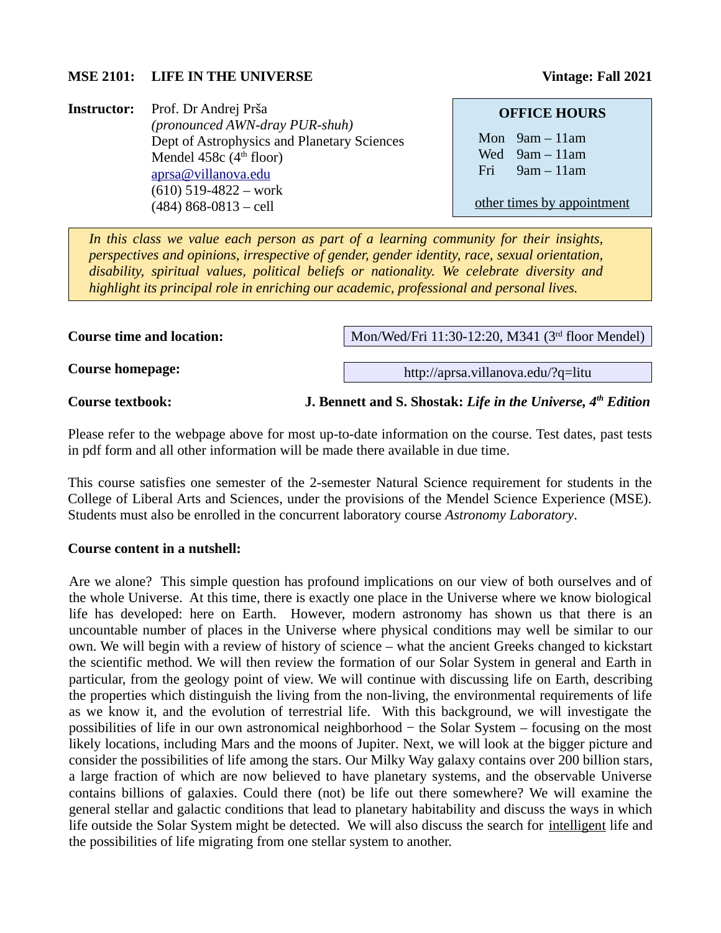### **MSE 2101:** LIFE IN THE UNIVERSE Vintage: Fall 2021

**Instructor:** Prof. Dr Andrej Prša *(pronounced AWN-dray PUR-shuh)* Dept of Astrophysics and Planetary Sciences Mendel 458 $c$  (4<sup>th</sup> floor) [aprsa@villanova.edu](mailto:aprsa@villanova.edu) (610) 519-4822 – work (484) 868-0813 – cell

#### **OFFICE HOURS**

Mon 9am – 11am Wed 9am – 11am Fri 9am – 11am

other times by appointment

*In this class we value each person as part of a learning community for their insights, perspectives and opinions, irrespective of gender, gender identity, race, sexual orientation, disability, spiritual values, political beliefs or nationality. We celebrate diversity and highlight its principal role in enriching our academic, professional and personal lives.*

**Course time and location:**

Mon/Wed/Fri 11:30-12:20, M341 (3rd floor Mendel)

http://aprsa.villanova.edu/?q=litu

**Course homepage:**

**Course textbook: J. Bennett and S. Shostak:** *Life in the Universe, 4th Edition*

Please refer to the webpage above for most up-to-date information on the course. Test dates, past tests in pdf form and all other information will be made there available in due time.

This course satisfies one semester of the 2-semester Natural Science requirement for students in the College of Liberal Arts and Sciences, under the provisions of the Mendel Science Experience (MSE). Students must also be enrolled in the concurrent laboratory course *Astronomy Laboratory*.

#### **Course content in a nutshell:**

Are we alone? This simple question has profound implications on our view of both ourselves and of the whole Universe. At this time, there is exactly one place in the Universe where we know biological life has developed: here on Earth. However, modern astronomy has shown us that there is an uncountable number of places in the Universe where physical conditions may well be similar to our own. We will begin with a review of history of science – what the ancient Greeks changed to kickstart the scientific method. We will then review the formation of our Solar System in general and Earth in particular, from the geology point of view. We will continue with discussing life on Earth, describing the properties which distinguish the living from the non-living, the environmental requirements of life as we know it, and the evolution of terrestrial life. With this background, we will investigate the possibilities of life in our own astronomical neighborhood − the Solar System – focusing on the most likely locations, including Mars and the moons of Jupiter. Next, we will look at the bigger picture and consider the possibilities of life among the stars. Our Milky Way galaxy contains over 200 billion stars, a large fraction of which are now believed to have planetary systems, and the observable Universe contains billions of galaxies. Could there (not) be life out there somewhere? We will examine the general stellar and galactic conditions that lead to planetary habitability and discuss the ways in which life outside the Solar System might be detected. We will also discuss the search for intelligent life and the possibilities of life migrating from one stellar system to another.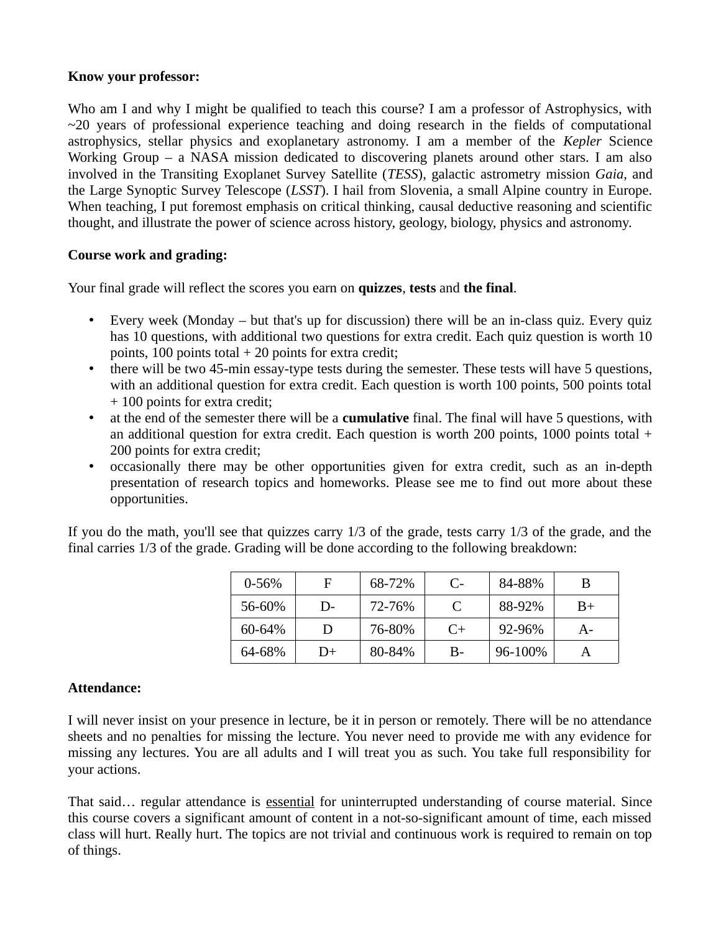### **Know your professor:**

Who am I and why I might be qualified to teach this course? I am a professor of Astrophysics, with  $\sim$ 20 years of professional experience teaching and doing research in the fields of computational astrophysics, stellar physics and exoplanetary astronomy. I am a member of the *Kepler* Science Working Group – a NASA mission dedicated to discovering planets around other stars. I am also involved in the Transiting Exoplanet Survey Satellite (*TESS*), galactic astrometry mission *Gaia*, and the Large Synoptic Survey Telescope (*LSST*). I hail from Slovenia, a small Alpine country in Europe. When teaching, I put foremost emphasis on critical thinking, causal deductive reasoning and scientific thought, and illustrate the power of science across history, geology, biology, physics and astronomy.

# **Course work and grading:**

Your final grade will reflect the scores you earn on **quizzes**, **tests** and **the final**.

- Every week (Monday but that's up for discussion) there will be an in-class quiz. Every quiz has 10 questions, with additional two questions for extra credit. Each quiz question is worth 10 points, 100 points total  $+$  20 points for extra credit;
- there will be two 45-min essay-type tests during the semester. These tests will have 5 questions, with an additional question for extra credit. Each question is worth 100 points, 500 points total + 100 points for extra credit;
- at the end of the semester there will be a **cumulative** final. The final will have 5 questions, with an additional question for extra credit. Each question is worth 200 points, 1000 points total + 200 points for extra credit;
- occasionally there may be other opportunities given for extra credit, such as an in-depth presentation of research topics and homeworks. Please see me to find out more about these opportunities.

If you do the math, you'll see that quizzes carry 1/3 of the grade, tests carry 1/3 of the grade, and the final carries 1/3 of the grade. Grading will be done according to the following breakdown:

| $0 - 56%$ | F    | 68-72% | $C$ - | 84-88%     | B     |
|-----------|------|--------|-------|------------|-------|
| 56-60%    | $D-$ | 72-76% |       | 88-92%     | $B+$  |
| 60-64%    | Ð    | 76-80% | $C+$  | 92-96%     | $A -$ |
| 64-68%    | D+   | 80-84% | В-    | $96-100\%$ |       |

### **Attendance:**

I will never insist on your presence in lecture, be it in person or remotely. There will be no attendance sheets and no penalties for missing the lecture. You never need to provide me with any evidence for missing any lectures. You are all adults and I will treat you as such. You take full responsibility for your actions.

That said… regular attendance is essential for uninterrupted understanding of course material. Since this course covers a significant amount of content in a not-so-significant amount of time, each missed class will hurt. Really hurt. The topics are not trivial and continuous work is required to remain on top of things.